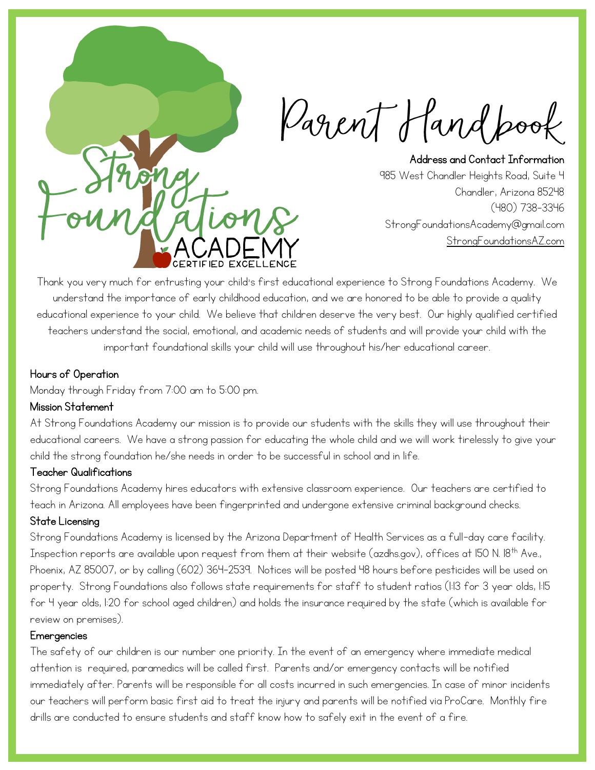Carent Hand pook

Address and Contact Information 985 West Chandler Heights Road, Suite 4 Chandler, Arizona 85248 (480) 738-3346 StrongFoundationsAcademy@gmail.com [StrongFoundationsAZ.com](https://www.strongfoundationsaz.com/)

Thank you very much for entrusting your child's first educational experience to Strong Foundations Academy. We understand the importance of early childhood education, and we are honored to be able to provide a quality educational experience to your child. We believe that children deserve the very best. Our highly qualified certified teachers understand the social, emotional, and academic needs of students and will provide your child with the important foundational skills your child will use throughout his/her educational career.

## Hours of Operation

Monday through Friday from 7:00 am to 5:00 pm.

## Mission Statement

At Strong Foundations Academy our mission is to provide our students with the skills they will use throughout their educational careers. We have a strong passion for educating the whole child and we will work tirelessly to give your child the strong foundation he/she needs in order to be successful in school and in life.

# Teacher Qualifications

Strong Foundations Academy hires educators with extensive classroom experience. Our teachers are certified to teach in Arizona. All employees have been fingerprinted and undergone extensive criminal background checks.

## State Licensing

Strong Foundations Academy is licensed by the Arizona Department of Health Services as a full-day care facility. Inspection reports are available upon request from them at their website (azdhs.gov), offices at 150 N. 18<sup>th</sup> Ave., Phoenix, AZ 85007, or by calling (602) 364-2539. Notices will be posted 48 hours before pesticides will be used on property. Strong Foundations also follows state requirements for staff to student ratios (1:13 for 3 year olds, 1:15 for 4 year olds, 1:20 for school aged children) and holds the insurance required by the state (which is available for review on premises).

## **Emergencies**

The safety of our children is our number one priority. In the event of an emergency where immediate medical attention is required, paramedics will be called first. Parents and/or emergency contacts will be notified immediately after. Parents will be responsible for all costs incurred in such emergencies. In case of minor incidents our teachers will perform basic first aid to treat the injury and parents will be notified via ProCare. Monthly fire drills are conducted to ensure students and staff know how to safely exit in the event of a fire.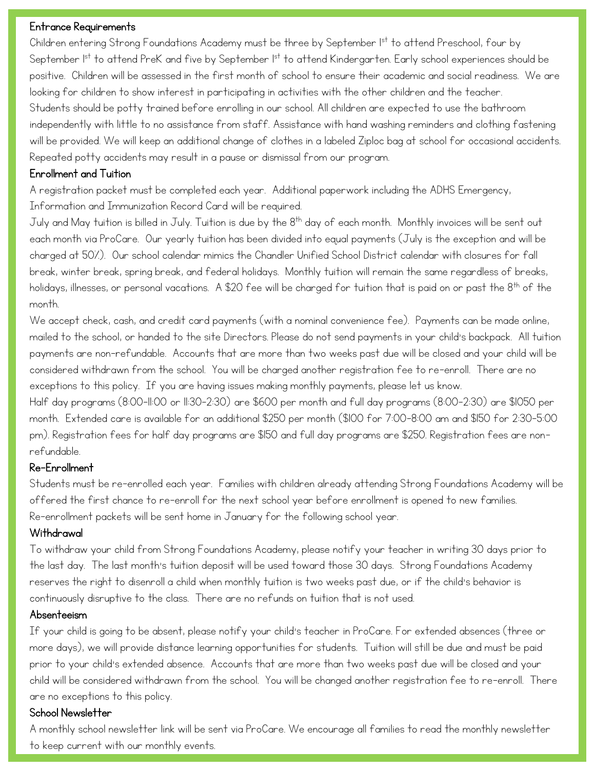## Entrance Requirements

Children entering Strong Foundations Academy must be three by September Ist to attend Preschool, four by September 1st to attend PreK and five by September 1st to attend Kindergarten. Early school experiences should be positive. Children will be assessed in the first month of school to ensure their academic and social readiness. We are looking for children to show interest in participating in activities with the other children and the teacher. Students should be potty trained before enrolling in our school. All children are expected to use the bathroom independently with little to no assistance from staff. Assistance with hand washing reminders and clothing fastening will be provided. We will keep an additional change of clothes in a labeled Ziploc bag at school for occasional accidents. Repeated potty accidents may result in a pause or dismissal from our program.

## Enrollment and Tuition

A registration packet must be completed each year. Additional paperwork including the ADHS Emergency, Information and Immunization Record Card will be required.

July and May tuition is billed in July. Tuition is due by the  $8^{th}$  day of each month. Monthly invoices will be sent out each month via ProCare. Our yearly tuition has been divided into equal payments (July is the exception and will be charged at 50%). Our school calendar mimics the Chandler Unified School District calendar with closures for fall break, winter break, spring break, and federal holidays. Monthly tuition will remain the same regardless of breaks, holidays, illnesses, or personal vacations. A \$20 fee will be charged for tuition that is paid on or past the 8th of the month.

We accept check, cash, and credit card payments (with a nominal convenience fee). Payments can be made online, mailed to the school, or handed to the site Directors. Please do not send payments in your child's backpack. All tuition payments are non-refundable. Accounts that are more than two weeks past due will be closed and your child will be considered withdrawn from the school. You will be charged another registration fee to re-enroll. There are no exceptions to this policy. If you are having issues making monthly payments, please let us know.

Half day programs (8:00-11:00 or 11:30-2:30) are \$600 per month and full day programs (8:00-2:30) are \$1050 per month. Extended care is available for an additional \$250 per month (\$100 for 7:00-8:00 am and \$150 for 2:30-5:00 pm). Registration fees for half day programs are \$150 and full day programs are \$250. Registration fees are nonrefundable.

# Re-Enrollment

Students must be re-enrolled each year. Families with children already attending Strong Foundations Academy will be offered the first chance to re-enroll for the next school year before enrollment is opened to new families. Re-enrollment packets will be sent home in January for the following school year.

## **Withdrawal**

To withdraw your child from Strong Foundations Academy, please notify your teacher in writing 30 days prior to the last day. The last month's tuition deposit will be used toward those 30 days. Strong Foundations Academy reserves the right to disenroll a child when monthly tuition is two weeks past due, or if the child's behavior is continuously disruptive to the class. There are no refunds on tuition that is not used.

## Absenteeism

If your child is going to be absent, please notify your child's teacher in ProCare. For extended absences (three or more days), we will provide distance learning opportunities for students. Tuition will still be due and must be paid prior to your child's extended absence. Accounts that are more than two weeks past due will be closed and your child will be considered withdrawn from the school. You will be changed another registration fee to re-enroll. There are no exceptions to this policy.

# School Newsletter

A monthly school newsletter link will be sent via ProCare. We encourage all families to read the monthly newsletter to keep current with our monthly events.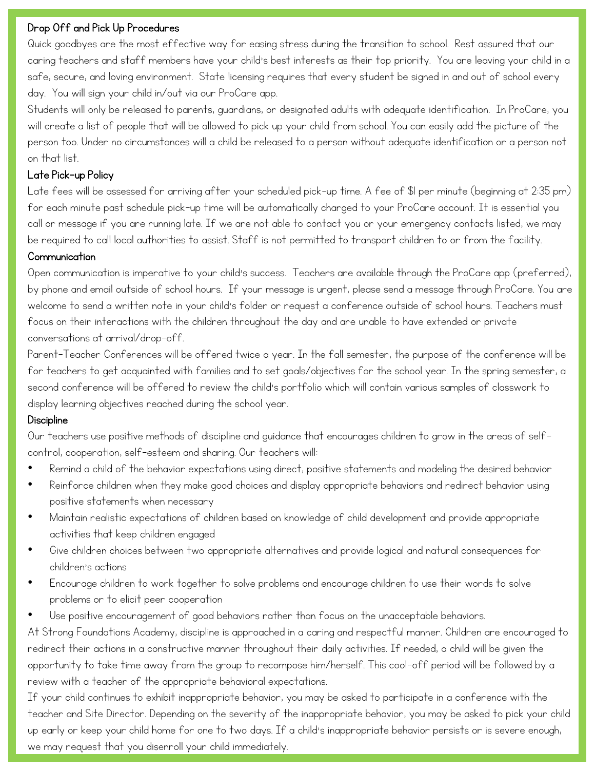## Drop Off and Pick Up Procedures

Quick goodbyes are the most effective way for easing stress during the transition to school. Rest assured that our caring teachers and staff members have your child's best interests as their top priority. You are leaving your child in a safe, secure, and loving environment. State licensing requires that every student be signed in and out of school every day. You will sign your child in/out via our ProCare app.

Students will only be released to parents, guardians, or designated adults with adequate identification. In ProCare, you will create a list of people that will be allowed to pick up your child from school. You can easily add the picture of the person too. Under no circumstances will a child be released to a person without adequate identification or a person not on that list.

## Late Pick-up Policy

Late fees will be assessed for arriving after your scheduled pick-up time. A fee of \$1 per minute (beginning at 2:35 pm) for each minute past schedule pick-up time will be automatically charged to your ProCare account. It is essential you call or message if you are running late. If we are not able to contact you or your emergency contacts listed, we may be required to call local authorities to assist. Staff is not permitted to transport children to or from the facility.

## **Communication**

Open communication is imperative to your child's success. Teachers are available through the ProCare app (preferred), by phone and email outside of school hours. If your message is urgent, please send a message through ProCare. You are welcome to send a written note in your child's folder or request a conference outside of school hours. Teachers must focus on their interactions with the children throughout the day and are unable to have extended or private conversations at arrival/drop-off.

Parent-Teacher Conferences will be offered twice a year. In the fall semester, the purpose of the conference will be for teachers to get acquainted with families and to set goals/objectives for the school year. In the spring semester, a second conference will be offered to review the child's portfolio which will contain various samples of classwork to display learning objectives reached during the school year.

# **Discipline**

Our teachers use positive methods of discipline and guidance that encourages children to grow in the areas of selfcontrol, cooperation, self-esteem and sharing. Our teachers will:

- Remind a child of the behavior expectations using direct, positive statements and modeling the desired behavior
- Reinforce children when they make good choices and display appropriate behaviors and redirect behavior using positive statements when necessary
- Maintain realistic expectations of children based on knowledge of child development and provide appropriate activities that keep children engaged
- Give children choices between two appropriate alternatives and provide logical and natural consequences for children's actions
- Encourage children to work together to solve problems and encourage children to use their words to solve problems or to elicit peer cooperation
- Use positive encouragement of good behaviors rather than focus on the unacceptable behaviors.

At Strong Foundations Academy, discipline is approached in a caring and respectful manner. Children are encouraged to redirect their actions in a constructive manner throughout their daily activities. If needed, a child will be given the opportunity to take time away from the group to recompose him/herself. This cool-off period will be followed by a review with a teacher of the appropriate behavioral expectations.

If your child continues to exhibit inappropriate behavior, you may be asked to participate in a conference with the teacher and Site Director. Depending on the severity of the inappropriate behavior, you may be asked to pick your child up early or keep your child home for one to two days. If a child's inappropriate behavior persists or is severe enough, we may request that you disenroll your child immediately.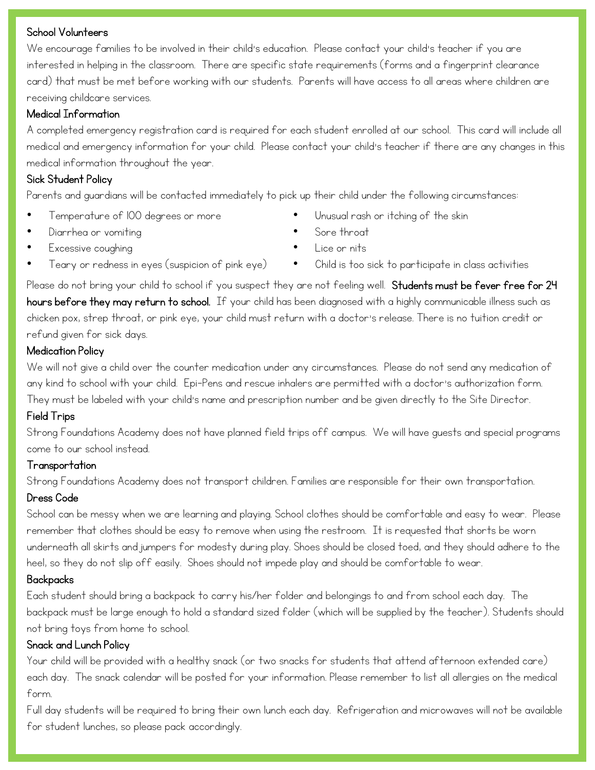## School Volunteers

We encourage families to be involved in their child's education. Please contact your child's teacher if you are interested in helping in the classroom. There are specific state requirements (forms and a fingerprint clearance card) that must be met before working with our students. Parents will have access to all areas where children are receiving childcare services.

# Medical Information

A completed emergency registration card is required for each student enrolled at our school. This card will include all medical and emergency information for your child. Please contact your child's teacher if there are any changes in this medical information throughout the year.

# Sick Student Policy

Parents and guardians will be contacted immediately to pick up their child under the following circumstances:

- Temperature of 100 degrees or more
- Unusual rash or itching of the skin

- Diarrhea or vomiting
- Excessive coughing
- Teary or redness in eyes (suspicion of pink eye)
- Lice or nits

Sore throat

• Child is too sick to participate in class activities

Please do not bring your child to school if you suspect they are not feeling well. Students must be fever free for 24 hours before they may return to school. If your child has been diagnosed with a highly communicable illness such as chicken pox, strep throat, or pink eye, your child must return with a doctor's release. There is no tuition credit or refund given for sick days.

# Medication Policy

We will not give a child over the counter medication under any circumstances. Please do not send any medication of any kind to school with your child. Epi-Pens and rescue inhalers are permitted with a doctor's authorization form. They must be labeled with your child's name and prescription number and be given directly to the Site Director.

# Field Trips

Strong Foundations Academy does not have planned field trips off campus. We will have guests and special programs come to our school instead.

# Transportation

Strong Foundations Academy does not transport children. Families are responsible for their own transportation.

# Dress Code

School can be messy when we are learning and playing. School clothes should be comfortable and easy to wear. Please remember that clothes should be easy to remove when using the restroom. It is requested that shorts be worn underneath all skirts and jumpers for modesty during play. Shoes should be closed toed, and they should adhere to the heel, so they do not slip off easily. Shoes should not impede play and should be comfortable to wear.

# Backpacks

Each student should bring a backpack to carry his/her folder and belongings to and from school each day. The backpack must be large enough to hold a standard sized folder (which will be supplied by the teacher). Students should not bring toys from home to school.

# Snack and Lunch Policy

Your child will be provided with a healthy snack (or two snacks for students that attend afternoon extended care) each day. The snack calendar will be posted for your information. Please remember to list all allergies on the medical form.

Full day students will be required to bring their own lunch each day. Refrigeration and microwaves will not be available for student lunches, so please pack accordingly.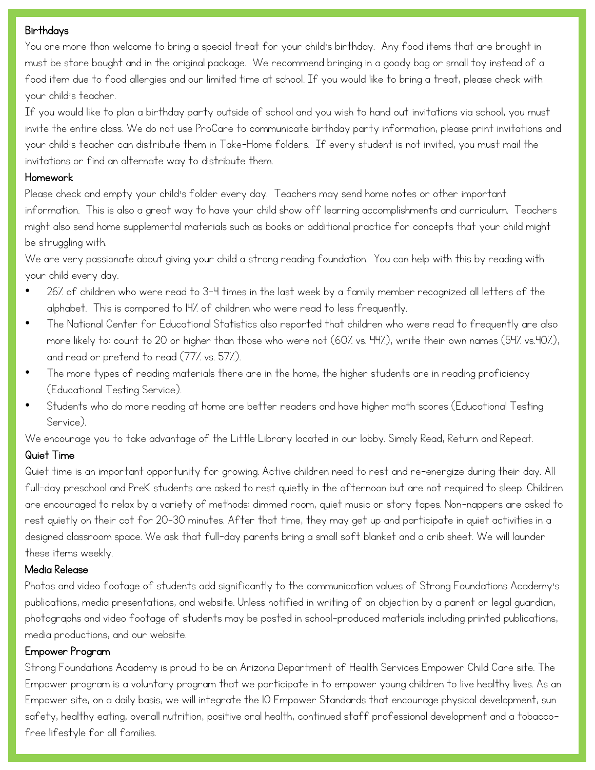## **Birthdays**

You are more than welcome to bring a special treat for your child's birthday. Any food items that are brought in must be store bought and in the original package. We recommend bringing in a goody bag or small toy instead of a food item due to food allergies and our limited time at school. If you would like to bring a treat, please check with your child's teacher.

If you would like to plan a birthday party outside of school and you wish to hand out invitations via school, you must invite the entire class. We do not use ProCare to communicate birthday party information, please print invitations and your child's teacher can distribute them in Take-Home folders. If every student is not invited, you must mail the invitations or find an alternate way to distribute them.

## Homework

Please check and empty your child's folder every day. Teachers may send home notes or other important information. This is also a great way to have your child show off learning accomplishments and curriculum. Teachers might also send home supplemental materials such as books or additional practice for concepts that your child might be struggling with.

We are very passionate about giving your child a strong reading foundation. You can help with this by reading with your child every day.

- 26% of children who were read to 3-4 times in the last week by a family member recognized all letters of the alphabet. This is compared to 14% of children who were read to less frequently.
- The National Center for Educational Statistics also reported that children who were read to frequently are also more likely to: count to 20 or higher than those who were not (60% vs. 44%), write their own names (54% vs.40%), and read or pretend to read (77% vs. 57%).
- The more types of reading materials there are in the home, the higher students are in reading proficiency (Educational Testing Service).
- Students who do more reading at home are better readers and have higher math scores (Educational Testing Service).

We encourage you to take advantage of the Little Library located in our lobby. Simply Read, Return and Repeat.

# Quiet Time

Quiet time is an important opportunity for growing. Active children need to rest and re-energize during their day. All full-day preschool and PreK students are asked to rest quietly in the afternoon but are not required to sleep. Children are encouraged to relax by a variety of methods: dimmed room, quiet music or story tapes. Non-nappers are asked to rest quietly on their cot for 20-30 minutes. After that time, they may get up and participate in quiet activities in a designed classroom space. We ask that full-day parents bring a small soft blanket and a crib sheet. We will launder these items weekly.

## Media Release

Photos and video footage of students add significantly to the communication values of Strong Foundations Academy's publications, media presentations, and website. Unless notified in writing of an objection by a parent or legal guardian, photographs and video footage of students may be posted in school-produced materials including printed publications, media productions, and our website.

## Empower Program

Strong Foundations Academy is proud to be an Arizona Department of Health Services Empower Child Care site. The Empower program is a voluntary program that we participate in to empower young children to live healthy lives. As an Empower site, on a daily basis, we will integrate the 10 Empower Standards that encourage physical development, sun safety, healthy eating, overall nutrition, positive oral health, continued staff professional development and a tobaccofree lifestyle for all families.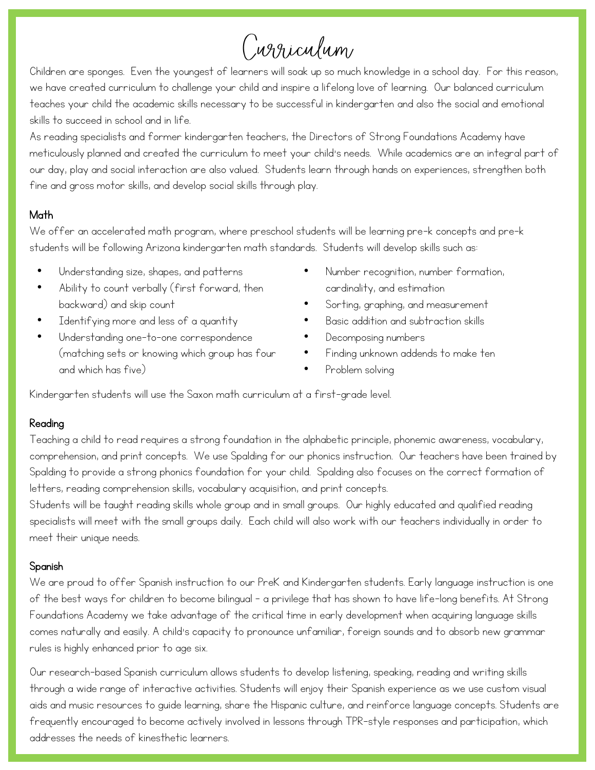# Curriculum

Children are sponges. Even the youngest of learners will soak up so much knowledge in a school day. For this reason, we have created curriculum to challenge your child and inspire a lifelong love of learning. Our balanced curriculum teaches your child the academic skills necessary to be successful in kindergarten and also the social and emotional skills to succeed in school and in life.

As reading specialists and former kindergarten teachers, the Directors of Strong Foundations Academy have meticulously planned and created the curriculum to meet your child's needs. While academics are an integral part of our day, play and social interaction are also valued. Students learn through hands on experiences, strengthen both fine and gross motor skills, and develop social skills through play.

# Math

We offer an accelerated math program, where preschool students will be learning pre-k concepts and pre-k students will be following Arizona kindergarten math standards. Students will develop skills such as:

- Understanding size, shapes, and patterns
- Ability to count verbally (first forward, then backward) and skip count
- Identifying more and less of a quantity
- Understanding one-to-one correspondence (matching sets or knowing which group has four and which has five)
- Number recognition, number formation, cardinality, and estimation
- Sorting, graphing, and measurement
- Basic addition and subtraction skills
- Decomposing numbers
- Finding unknown addends to make ten
- Problem solving

Kindergarten students will use the Saxon math curriculum at a first-grade level.

# Reading

Teaching a child to read requires a strong foundation in the alphabetic principle, phonemic awareness, vocabulary, comprehension, and print concepts. We use Spalding for our phonics instruction. Our teachers have been trained by Spalding to provide a strong phonics foundation for your child. Spalding also focuses on the correct formation of letters, reading comprehension skills, vocabulary acquisition, and print concepts.

Students will be taught reading skills whole group and in small groups. Our highly educated and qualified reading specialists will meet with the small groups daily. Each child will also work with our teachers individually in order to meet their unique needs.

## Spanish

We are proud to offer Spanish instruction to our PreK and Kindergarten students. Early language instruction is one of the best ways for children to become bilingual – a privilege that has shown to have life-long benefits. At Strong Foundations Academy we take advantage of the critical time in early development when acquiring language skills comes naturally and easily. A child's capacity to pronounce unfamiliar, foreign sounds and to absorb new grammar rules is highly enhanced prior to age six.

Our research-based Spanish curriculum allows students to develop listening, speaking, reading and writing skills through a wide range of interactive activities. Students will enjoy their Spanish experience as we use custom visual aids and music resources to guide learning, share the Hispanic culture, and reinforce language concepts. Students are frequently encouraged to become actively involved in lessons through TPR-style responses and participation, which addresses the needs of kinesthetic learners.